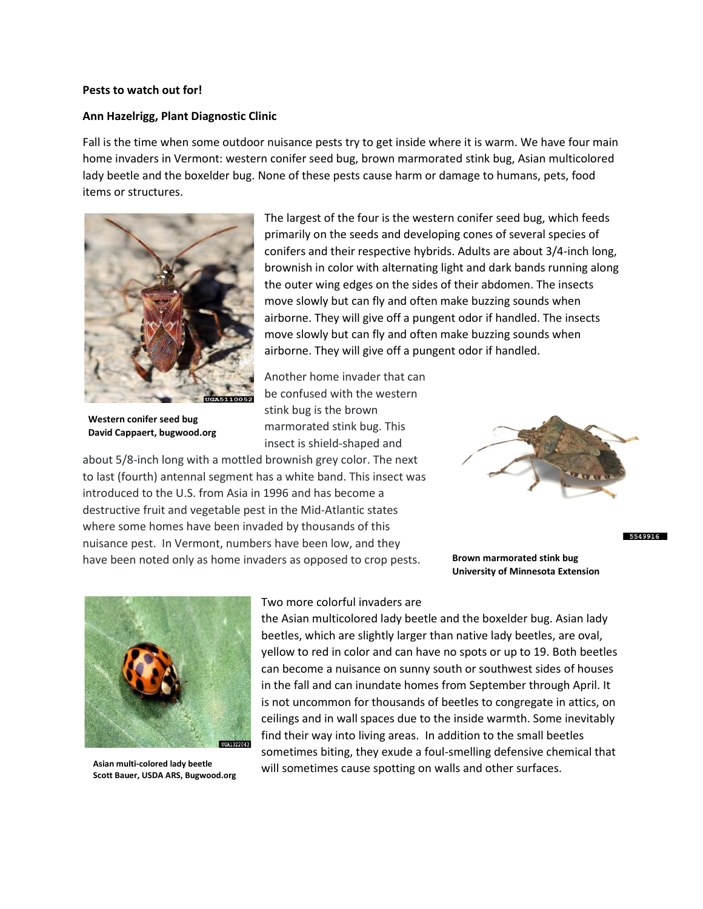## **Pests to watch out for!**

## **Ann Hazelrigg, Plant Diagnostic Clinic**

Fall is the time when some outdoor nuisance pests try to get inside where it is warm. We have four main home invaders in Vermont: western conifer seed bug, brown marmorated stink bug, Asian multicolored lady beetle and the boxelder bug. None of these pests cause harm or damage to humans, pets, food items or structures.



**Western conifer seed bug David Cappaert, bugwood.org**

The largest of the four is the western conifer seed bug, which feeds primarily on the seeds and developing cones of several species of conifers and their respective hybrids. Adults are about 3/4-inch long, brownish in color with alternating light and dark bands running along the outer wing edges on the sides of their abdomen. The insects move slowly but can fly and often make buzzing sounds when airborne. They will give off a pungent odor if handled. The insects move slowly but can fly and often make buzzing sounds when airborne. They will give off a pungent odor if handled.

Another home invader that can be confused with the western stink bug is the brown marmorated stink bug. This insect is shield-shaped and

about 5/8-inch long with a mottled brownish grey color. The next to last (fourth) antennal segment has a white band. This insect was introduced to the U.S. from Asia in 1996 and has become a destructive fruit and vegetable pest in the Mid-Atlantic states where some homes have been invaded by thousands of this nuisance pest. In Vermont, numbers have been low, and they have been noted only as home invaders as opposed to crop pests.



**Brown marmorated stink bug University of Minnesota Extension** 5549916



**Asian multi-colored lady beetle Scott Bauer, USDA ARS, Bugwood.org**

## Two more colorful invaders are

the Asian multicolored lady beetle and the boxelder bug. Asian lady beetles, which are slightly larger than native lady beetles, are oval, yellow to red in color and can have no spots or up to 19. Both beetles can become a nuisance on sunny south or southwest sides of houses in the fall and can inundate homes from September through April. It is not uncommon for thousands of beetles to congregate in attics, on ceilings and in wall spaces due to the inside warmth. Some inevitably find their way into living areas. In addition to the small beetles sometimes biting, they exude a foul-smelling defensive chemical that will sometimes cause spotting on walls and other surfaces.